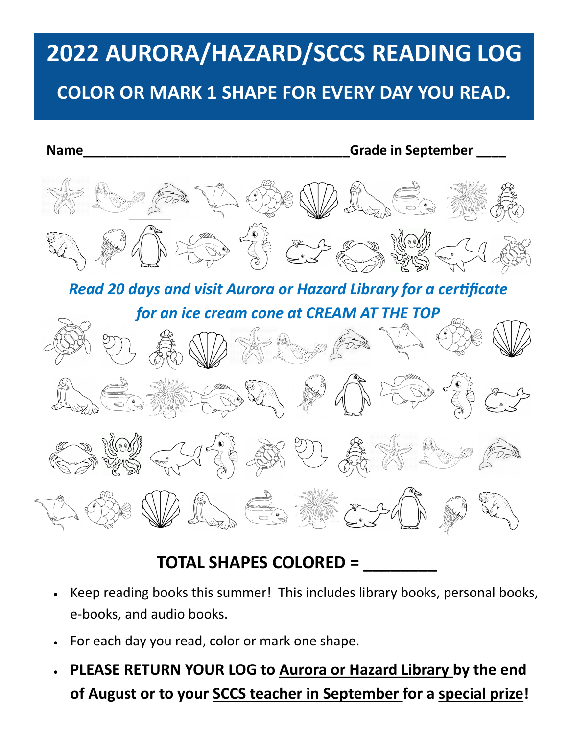# UNUNA/TIAZANU/JUUJ NLADII **2022 AURORA/HAZARD/SCCS READING LOG**

## **20 MINUTES READS COLOR OR MARK 1 SHAPE FOR EVERY DAY YOU READ.**



# **TOTAL SHAPES COLORED = \_\_\_\_\_\_\_\_**

- Keep reading books this summer! This includes library books, personal books, e-books, and audio books.
- For each day you read, color or mark one shape.
- **PLEASE RETURN YOUR LOG to Aurora or Hazard Library by the end of August or to your SCCS teacher in September for a special prize!**